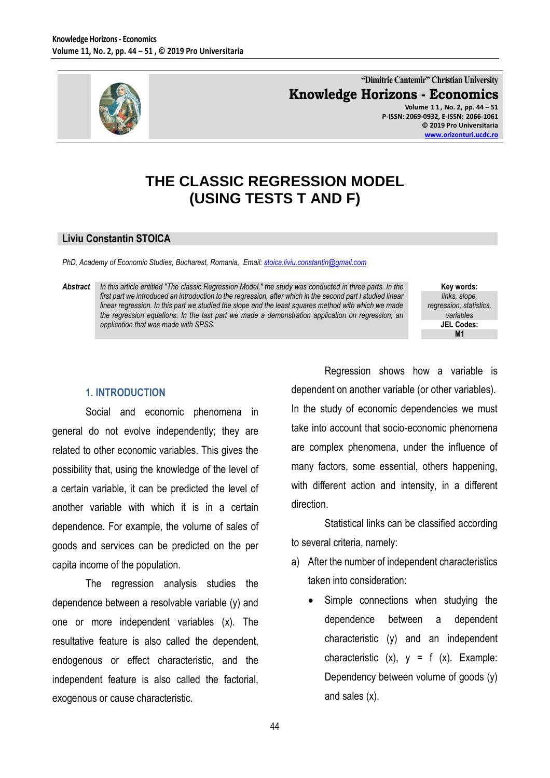

**"Dimitrie Cantemir" Christian University Knowledge Horizons - Economics**

**Volume 1 1 , No. 2, pp. 44 – 51 P-ISSN: 2069-0932, E-ISSN: 2066-1061 © 2019 Pro Universitaria [www.orizonturi.ucdc.ro](http://www.orizonturi.ucdc.ro/)**

## **THE CLASSIC REGRESSION MODEL (USING TESTS T AND F)**

#### **Liviu Constantin STOICA**

*PhD, Academy of Economic Studies, Bucharest, Romania, Email: [stoica.liviu.constantin@gmail.com](mailto:stoica.liviu.constantin@gmail.com)* 

*Abstract In this article entitled "The classic Regression Model," the study was conducted in three parts. In the*  first part we introduced an introduction to the regression, after which in the second part I studied linear *linear regression. In this part we studied the slope and the least squares method with which we made the regression equations. In the last part we made a demonstration application on regression, an application that was made with SPSS.*

**Key words:** *links, slope, regression, statistics, variables* **JEL Codes: M1**

### **1. INTRODUCTION**

Social and economic phenomena in general do not evolve independently; they are related to other economic variables. This gives the possibility that, using the knowledge of the level of a certain variable, it can be predicted the level of another variable with which it is in a certain dependence. For example, the volume of sales of goods and services can be predicted on the per capita income of the population.

The regression analysis studies the dependence between a resolvable variable (y) and one or more independent variables (x). The resultative feature is also called the dependent, endogenous or effect characteristic, and the independent feature is also called the factorial, exogenous or cause characteristic.

Regression shows how a variable is dependent on another variable (or other variables). In the study of economic dependencies we must take into account that socio-economic phenomena are complex phenomena, under the influence of many factors, some essential, others happening, with different action and intensity, in a different direction.

Statistical links can be classified according to several criteria, namely:

- a) After the number of independent characteristics taken into consideration:
	- Simple connections when studying the dependence between a dependent characteristic (y) and an independent characteristic  $(x)$ ,  $y = f(x)$ . Example: Dependency between volume of goods (y) and sales (x).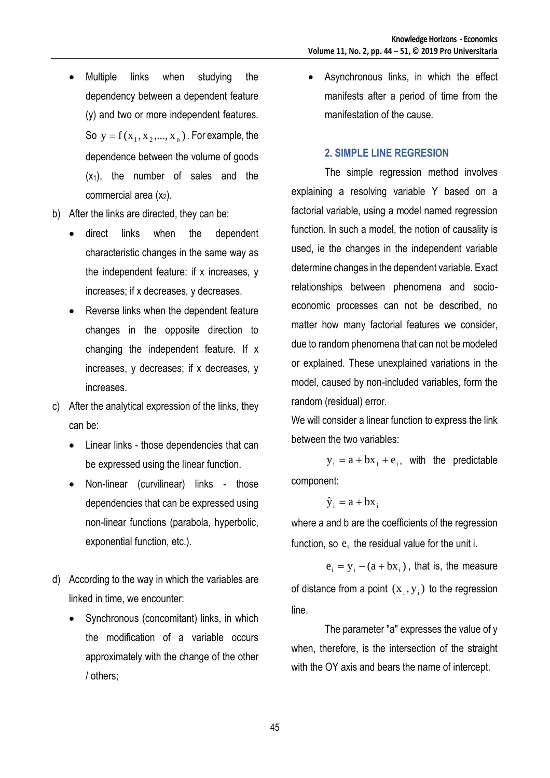- Multiple links when studying the dependency between a dependent feature (y) and two or more independent features. So  $y = f(x_1, x_2, ..., x_n)$ . For example, the dependence between the volume of goods  $(x_1)$ , the number of sales and the commercial area  $(x_2)$ .
- b) After the links are directed, they can be:
	- direct links when the dependent characteristic changes in the same way as the independent feature: if x increases, y increases; if x decreases, y decreases.
	- Reverse links when the dependent feature changes in the opposite direction to changing the independent feature. If x increases, y decreases; if x decreases, y increases.
- c) After the analytical expression of the links, they can be:
	- Linear links those dependencies that can be expressed using the linear function.
	- Non-linear (curvilinear) links those dependencies that can be expressed using non-linear functions (parabola, hyperbolic, exponential function, etc.).
- d) According to the way in which the variables are linked in time, we encounter:
	- Synchronous (concomitant) links, in which the modification of a variable occurs approximately with the change of the other / others;

 Asynchronous links, in which the effect manifests after a period of time from the manifestation of the cause.

### **2. SIMPLE LINE REGRESION**

The simple regression method involves explaining a resolving variable Y based on a factorial variable, using a model named regression function. In such a model, the notion of causality is used, ie the changes in the independent variable determine changes in the dependent variable. Exact relationships between phenomena and socioeconomic processes can not be described, no matter how many factorial features we consider, due to random phenomena that can not be modeled or explained. These unexplained variations in the model, caused by non-included variables, form the random (residual) error.

We will consider a linear function to express the link between the two variables:

 $y_i = a + bx_i + e_i$ , with the predictable component:

$$
\hat{y}_i = a + bx_i
$$

where a and b are the coefficients of the regression function, so  $e_i$  the residual value for the unit i.

 $e_i = y_i - (a + bx_i)$ , that is, the measure of distance from a point  $(x_i, y_i)$  to the regression line.

The parameter "a" expresses the value of y when, therefore, is the intersection of the straight with the OY axis and bears the name of intercept.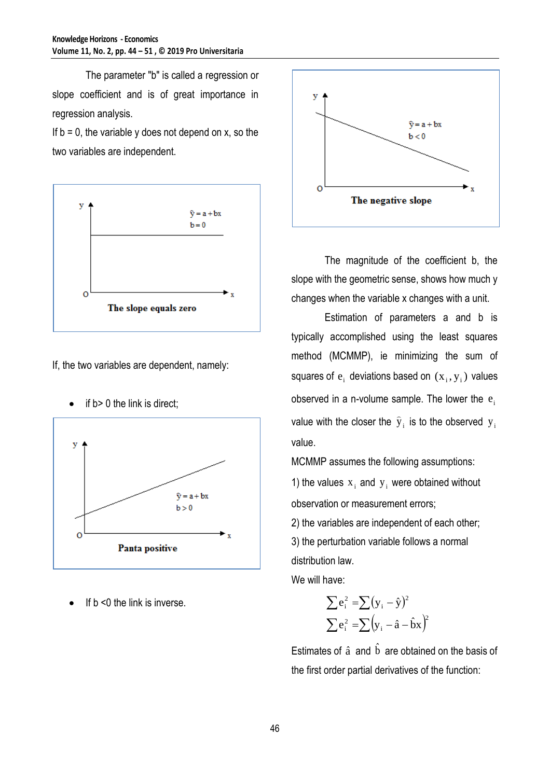The parameter "b" is called a regression or slope coefficient and is of great importance in regression analysis.

If  $b = 0$ , the variable y does not depend on x, so the two variables are independent.



If, the two variables are dependent, namely:



if b> 0 the link is direct;

If b <0 the link is inverse.



The magnitude of the coefficient b, the slope with the geometric sense, shows how much y changes when the variable x changes with a unit.

Estimation of parameters a and b is typically accomplished using the least squares method (MCMMP), ie minimizing the sum of squares of  $e_i$  deviations based on  $(x_i, y_i)$  values observed in a n-volume sample. The lower the  $\mathbf{e}_{\mathrm{i}}$ value with the closer the  $\widehat{\text{y}}_{\text{i}}$  is to the observed  $\text{y}_{\text{i}}$ value.

MCMMP assumes the following assumptions:

1) the values  $x_i$  and  $y_i$  were obtained without observation or measurement errors;

2) the variables are independent of each other; 3) the perturbation variable follows a normal distribution law.

We will have:

$$
\sum e_i^2 = \sum (y_i - \hat{y})^2
$$

$$
\sum e_i^2 = \sum (y_i - \hat{a} - \hat{b}x)^2
$$

Estimates of  $\hat{a}$  and  $\hat{b}$  are obtained on the basis of the first order partial derivatives of the function: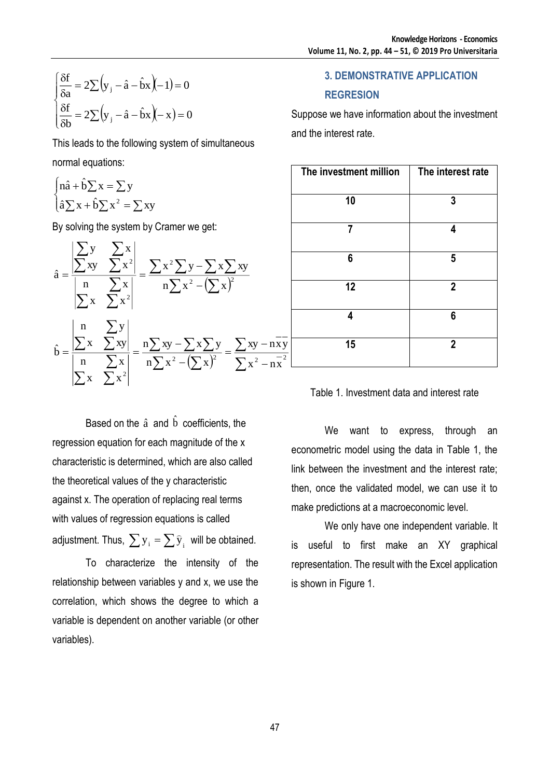$$
\begin{cases} \frac{\delta f}{\delta a} = 2\sum (y_j - \hat{a} - \hat{b}x)(-1) = 0\\ \frac{\delta f}{\delta b} = 2\sum (y_j - \hat{a} - \hat{b}x)(-x) = 0 \end{cases}
$$

$$
\begin{cases} \n\mathbf{n}\hat{\mathbf{a}} + \hat{\mathbf{b}}\sum \mathbf{x} = \sum \mathbf{y} \\ \n\hat{\mathbf{a}}\sum \mathbf{x} + \hat{\mathbf{b}}\sum \mathbf{x}^2 = \sum \mathbf{x}\mathbf{y} \n\end{cases}
$$

| $\begin{cases}\n\frac{\delta f}{\delta a} = 2\sum (y_i - \hat{a} - \hat{b}x)(-1) = 0 \\ \frac{\delta f}{\delta b} = 2\sum (y_i - \hat{a} - \hat{b}x)(-x) = 0\n\end{cases}$                                                                                                                                                                                                                                                                                                                                                                                                                                          |
|---------------------------------------------------------------------------------------------------------------------------------------------------------------------------------------------------------------------------------------------------------------------------------------------------------------------------------------------------------------------------------------------------------------------------------------------------------------------------------------------------------------------------------------------------------------------------------------------------------------------|
| This leads to the following system of simultaneous                                                                                                                                                                                                                                                                                                                                                                                                                                                                                                                                                                  |
| normal equations:                                                                                                                                                                                                                                                                                                                                                                                                                                                                                                                                                                                                   |
| $\begin{cases} \n\hat{\mathbf{n}} + \hat{\mathbf{b}} \sum \mathbf{x} = \sum \mathbf{y} \\ \n\hat{\mathbf{a}} \sum \mathbf{x} + \hat{\mathbf{b}} \sum \mathbf{x}^2 = \sum \mathbf{x} \mathbf{y} \n\end{cases}$                                                                                                                                                                                                                                                                                                                                                                                                       |
| By solving the system by Cramer we get:                                                                                                                                                                                                                                                                                                                                                                                                                                                                                                                                                                             |
| $\hat{a} = \frac{\left \sum_{xy}^{y} - \sum_{x}^{x}\right }{\left \sum_{x}^{n} - \sum_{y}^{x}\right } = \frac{\sum x^{2} \sum y - \sum x \sum xy}{\left \sum_{x}^{n} - \sum_{y}^{x}\right }$                                                                                                                                                                                                                                                                                                                                                                                                                        |
| $\hat{b} = \frac{\begin{vmatrix} n & \sum y \\ \sum x & \sum xy \end{vmatrix}}{\begin{vmatrix} n & \sum x \\ \sum x & \sum y^2 \end{vmatrix}} = \frac{n \sum xy - \sum x \sum y}{n \sum x^2 - (\sum x)^2} = \frac{\sum xy - n \sum y}{\sum x^2 - n \sum x^2}$                                                                                                                                                                                                                                                                                                                                                       |
| Based on the $\hat{a}$ and $\hat{b}$ coefficients, the<br>regression equation for each magnitude of the x<br>characteristic is determined, which are also called<br>the theoretical values of the y characteristic<br>against x. The operation of replacing real terms<br>with values of regression equations is called<br>adjustment. Thus, $\sum y_i = \sum \hat{y}_i$ will be obtained.<br>characterize the intensity of the<br>To<br>relationship between variables y and x, we use the<br>correlation, which shows the degree to which a<br>variable is dependent on another variable (or other<br>variables). |
| 47                                                                                                                                                                                                                                                                                                                                                                                                                                                                                                                                                                                                                  |

# **3. DEMONSTRATIVE APPLICATION**

### **REGRESION**

Suppose we have information about the investment and the interest rate.

| The investment million | The interest rate |
|------------------------|-------------------|
| 10                     | 3                 |
| 7                      | 4                 |
| 6                      | 5                 |
| 12                     | $\mathbf{2}$      |
| 4                      | 6                 |
| 15                     | $\overline{2}$    |

Table 1. Investment data and interest rate

We want to express, through an econometric model using the data in Table 1, the link between the investment and the interest rate; then, once the validated model, we can use it to make predictions at a macroeconomic level.

We only have one independent variable. It is useful to first make an XY graphical representation. The result with the Excel application is shown in Figure 1.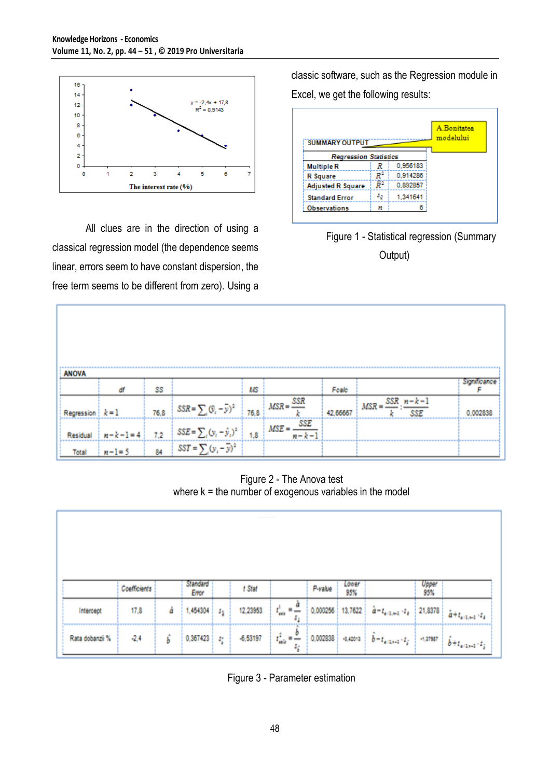

All clues are in the direction of using a classical regression model (the dependence seems linear, errors seem to have constant dispersion, the free term seems to be different from zero). Using a

classic software, such as the Regression module in Excel, we get the following results:

| <b>SUMMARY OUTPUT</b>        |                |          | A.Bonitatea<br>modelului |
|------------------------------|----------------|----------|--------------------------|
| <b>Regression Statistics</b> |                |          |                          |
| <b>Multiple R</b>            | R              | 0,956183 |                          |
| <b>R</b> Square              | $\mathbb{R}^2$ | 0,914286 |                          |
| <b>Adjusted R Square</b>     | Ŕ2             | 0.892857 |                          |
| <b>Standard Error</b>        | 50             | 1.341641 |                          |
| <b>Observations</b>          | n              |          |                          |



| <b>ANOVA</b>       |           |      |                                        |      |                         |          |                                      |         |
|--------------------|-----------|------|----------------------------------------|------|-------------------------|----------|--------------------------------------|---------|
|                    | đf        | SS   |                                        | MS   |                         | Foalo    |                                      |         |
| Regression $k = 1$ |           | 76.8 | $SSR = \sum_i (\hat{y}_i - \bar{y})^2$ | 76,8 | $MSR =$ $\frac{SSR}{}$  | 42,66667 | $MSR =$ $SSR \cdot n - k - k$<br>SSE | 0.00283 |
| Residual           | $n-k-1=4$ | 7.2  | $SSE = \sum_i (y_i - \hat{y}_i)^2$     | 1.8  | SSE<br>$MSE =$<br>カーミー! |          |                                      |         |
| Total              | $n-1=5$   | 84   | $SST = \sum (y_i - \overline{y})^2$    |      |                         |          |                                      |         |

Figure 2 - The Anova test where  $k =$  the number of exogenous variables in the model

|                 |              |   | Standard |   |            |                                                      |          | Lower      |                                                |              |                                                                           |
|-----------------|--------------|---|----------|---|------------|------------------------------------------------------|----------|------------|------------------------------------------------|--------------|---------------------------------------------------------------------------|
|                 | Coefficients |   | Error    |   | t Stat     |                                                      | P-value  | 95%        |                                                | Upper<br>95% |                                                                           |
| Intercept       | 17,8         | å | 1,454304 | 4 | 12,23953   | $t_{\text{acc}}^1 = \frac{a}{a}$<br>ă,               | 0,000256 | 13,7622    | $\hat{a} = t_{a+1, a+1} \cdot t_a$             | 21,8378      | $a + t_{a/1, a-1}$ , $t_a$                                                |
| Rata dobanzii % | $-2,4$       | ь | 0,367423 | 勻 | $-6,63197$ | $t_{\text{scale}} = \frac{b}{c_{\text{scale}}}$<br>4 | 0,002838 | $-1,42013$ | $\delta$ = $t_{\rm at, 0.01}$ ( $t_{\rm g}$ ). | $-1,37987$   | $\left\langle \hat{b}+t_{\mathrm{atj},i+1},t_{\hat{b}}\right\rangle ^{2}$ |

Figure 3 - Parameter estimation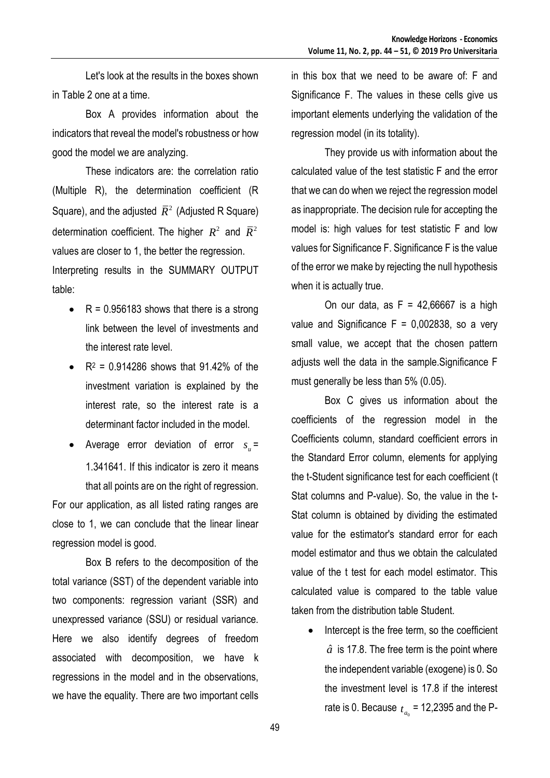Let's look at the results in the boxes shown in Table 2 one at a time.

Box A provides information about the indicators that reveal the model's robustness or how good the model we are analyzing.

These indicators are: the correlation ratio (Multiple R), the determination coefficient (R Square), and the adjusted  $R^2$  (Adjusted R Square) determination coefficient. The higher  $R^2$  and  $R^2$ values are closer to 1, the better the regression. Interpreting results in the SUMMARY OUTPUT table:

- $\bullet$  R = 0.956183 shows that there is a strong link between the level of investments and the interest rate level.
- $R^2 = 0.914286$  shows that 91.42% of the investment variation is explained by the interest rate, so the interest rate is a determinant factor included in the model.
- Average error deviation of error  $s_u$ = 1.341641. If this indicator is zero it means that all points are on the right of regression. For our application, as all listed rating ranges are close to 1, we can conclude that the linear linear regression model is good.

Box B refers to the decomposition of the total variance (SST) of the dependent variable into two components: regression variant (SSR) and unexpressed variance (SSU) or residual variance. Here we also identify degrees of freedom associated with decomposition, we have k regressions in the model and in the observations, we have the equality. There are two important cells

in this box that we need to be aware of: F and Significance F. The values in these cells give us important elements underlying the validation of the regression model (in its totality).

They provide us with information about the calculated value of the test statistic F and the error that we can do when we reject the regression model as inappropriate. The decision rule for accepting the model is: high values for test statistic F and low values for Significance F. Significance F is the value of the error we make by rejecting the null hypothesis when it is actually true.

On our data, as  $F = 42,66667$  is a high value and Significance  $F = 0,002838$ , so a very small value, we accept that the chosen pattern adjusts well the data in the sample.Significance F must generally be less than 5% (0.05).

Box C gives us information about the coefficients of the regression model in the Coefficients column, standard coefficient errors in the Standard Error column, elements for applying the t-Student significance test for each coefficient (t Stat columns and P-value). So, the value in the t-Stat column is obtained by dividing the estimated value for the estimator's standard error for each model estimator and thus we obtain the calculated value of the t test for each model estimator. This calculated value is compared to the table value taken from the distribution table Student.

 Intercept is the free term, so the coefficient  $\hat{a}$  is 17.8. The free term is the point where the independent variable (exogene) is 0. So the investment level is 17.8 if the interest rate is 0. Because  $_{t_{a_0}}$  = 12,2395 and the P-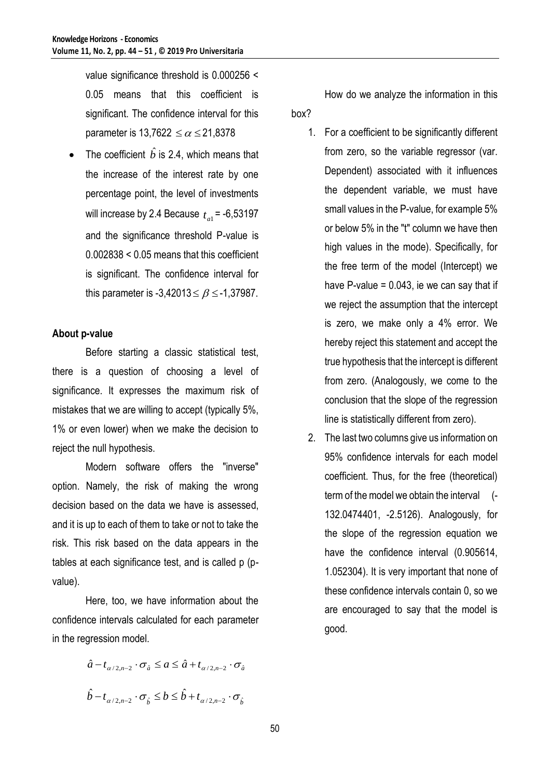value significance threshold is 0.000256 < 0.05 means that this coefficient is significant. The confidence interval for this parameter is 13,7622  $\leq\alpha\leq$  21,8378

• The coefficient  $\hat{b}$  is 2.4, which means that the increase of the interest rate by one percentage point, the level of investments will increase by 2.4 Because  $_{t_{a1}}$ = -6,53197 and the significance threshold P-value is 0.002838 < 0.05 means that this coefficient is significant. The confidence interval for this parameter is -3,42013 $\leq\beta$   $\leq$  -1,37987.

### **About p-value**

Before starting a classic statistical test, there is a question of choosing a level of significance. It expresses the maximum risk of mistakes that we are willing to accept (typically 5%, 1% or even lower) when we make the decision to reject the null hypothesis.

Modern software offers the "inverse" option. Namely, the risk of making the wrong decision based on the data we have is assessed, and it is up to each of them to take or not to take the risk. This risk based on the data appears in the tables at each significance test, and is called p (pvalue).

Here, too, we have information about the confidence intervals calculated for each parameter in the regression model.

> $\hat{a} - t_{\alpha/2,n-2} \cdot \sigma_{\hat{a}} \le a \le \hat{a} + t_{\alpha/2,n-2} \cdot \sigma_{\hat{a}}$  $\hat{b} - t_{\alpha/2, n-2} \cdot \sigma_{\hat{b}} \leq b \leq \hat{b} + t_{\alpha/2, n-2} \cdot \sigma_{\hat{b}}$  $\hat{\phi}$  +  $t_{\alpha/2,n-2}$   $\cdot \sigma$

How do we analyze the information in this box?

- 1. For a coefficient to be significantly different from zero, so the variable regressor (var. Dependent) associated with it influences the dependent variable, we must have small values in the P-value, for example 5% or below 5% in the "t" column we have then high values in the mode). Specifically, for the free term of the model (Intercept) we have P-value =  $0.043$ , ie we can say that if we reject the assumption that the intercept is zero, we make only a 4% error. We hereby reject this statement and accept the true hypothesis that the intercept is different from zero. (Analogously, we come to the conclusion that the slope of the regression line is statistically different from zero).
- 2. The last two columns give us information on 95% confidence intervals for each model coefficient. Thus, for the free (theoretical) term of the model we obtain the interval (- 132.0474401, -2.5126). Analogously, for the slope of the regression equation we have the confidence interval (0.905614, 1.052304). It is very important that none of these confidence intervals contain 0, so we are encouraged to say that the model is good.